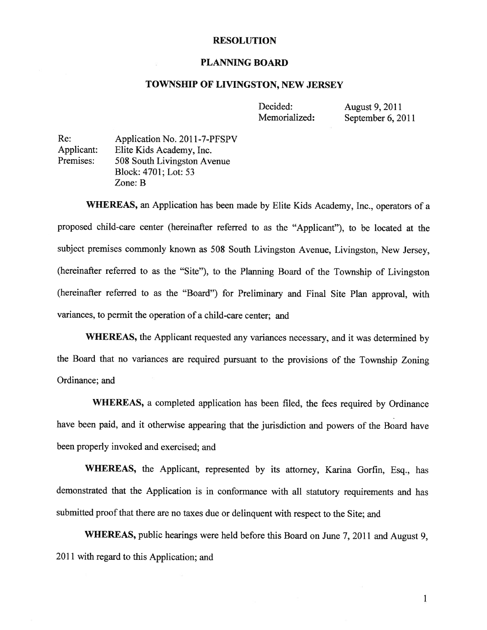#### RESOLUTION

#### PLANNING BOARD

#### TOWNSHIP OF LIVINGSTON, NEW JERSEY

Decided: August 9, 2011 Memorialized: September 6, 2011

Re: Application No. 2011-7-PFSPV Applicant: Elite Kids Academy, Inc. Premises: 508 South Livingston Avenue Block: 4701; Lot: 53 Zone: B

WHEREAS, an Application has been made by Elite Kids Academy, Inc., operators of <sup>a</sup> proposed child-care center (hereinafter referred to as the "Applicant"), to be located at the subject premises commonly known as <sup>508</sup> South Livingston Avenue, Livingston, New Jersey, (hereinafter referred to as the "Site"), to the Planning Board of the Township of Livingston (hereinafter referred to as the "Board") for Preliminary and Final Site Plan approval, with variances, to permit the operation of <sup>a</sup> child-care center; and

WHEREAS, the Applicant requested any variances necessary, and it was determined by the Board that no variances are required pursuant to the provisions of the Township Zoning Ordinance; and

WHEREAS, <sup>a</sup> completed application has been filed, the fees required by Ordinance have been paid, and it otherwise appearing that the jurisdiction and powers of the Board have been properly invoked and exercised; and

WHEREAS, the Applicant, represented by its attorney, Karina Gorfin, Esq., has demonstrated that the Application is in conformance with all statutory requirements and has submitted proof that there are no taxes due or delinquent with respect to the Site; and

WHEREAS, public hearings were held before this Board on June 7, <sup>2011</sup> and August 9, 2011 with regard to this Application; and

> 1 1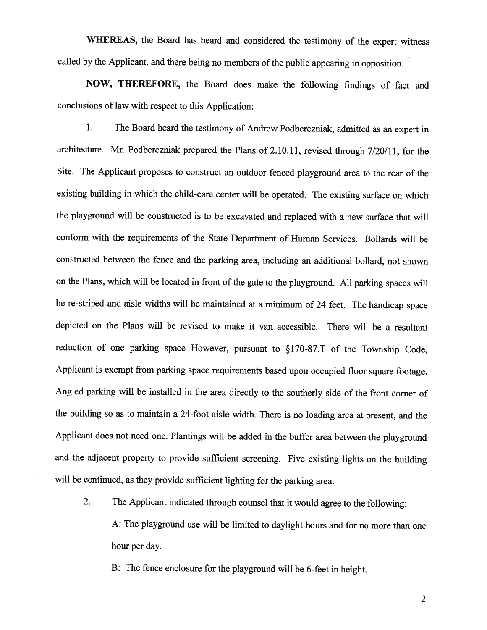WHEREAS, the Board has heard and considered the testimony of the expert witness called by the Applicant, and there being no members of the public appearing in opposition.

NOW, THEREFORE, the Board does make the following findings of fact and conclusions of law with respect to this Application:

1. The Board heard the testimony of Andrew Podberezniak, admitted as an expert in architecture. Mr. Podberezniak prepared the Plans of 2.10.11, revised through 7/20/11, for the Site. The Applicant proposes to construct an outdoor fenced <sup>p</sup>layground area to the rear of the existing building in which the child-care center will be operated. The existing surface on which the <sup>p</sup>layground will be constructed is to be excavated and replaced with <sup>a</sup> new surface that will conform with the requirements of the State Department of Human Services. Bollards will be constructed between the fence and the parking area, including an additional bollard, not shown on the Plans, which will be located in front of the gate to the <sup>p</sup>layground. All parking spaces will be re-striped and aisle widths will be maintained at <sup>a</sup> minimum of <sup>24</sup> feet. The handicap space depicted on the Plans will be revised to make it van accessible. There will be <sup>a</sup> resultant reduction of one parking space However, pursuant to §170-87.T of the Township Code, Applicant is exempt from parking space requirements based upon occupied floor square footage. Angled parking will be installed in the area directly to the southerly side of the front corner of the building so as to maintain <sup>a</sup> 24-foot aisle width. There is no loading area at present, and the Applicant does not need one. Plantings will be added in the buffer area between the <sup>p</sup>layground and the adjacent property to provide sufficient screening. Five existing lights on the building will be continued, as they provide sufficient lighting for the parking area.

2. The Applicant indicated through counsel that it would agree to the following: A: The <sup>p</sup>layground use will be limited to daylight hours and for no more than one hour per day.

B: The fence enclosure for the <sup>p</sup>layground will be 6-feet in height.

 $\overline{2}$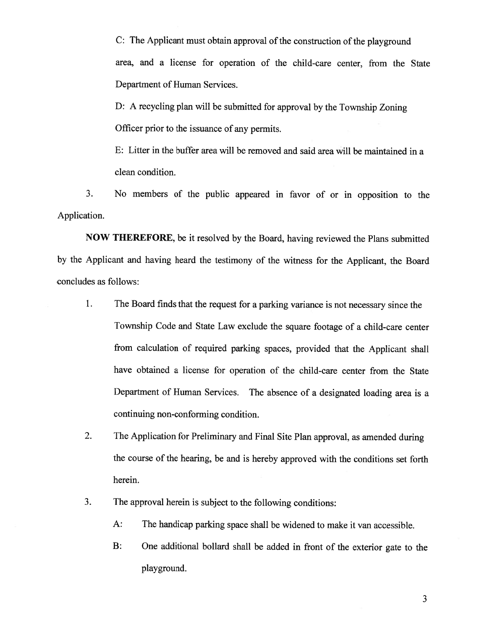C: The Applicant must obtain approval of the construction of the playground area, and <sup>a</sup> license for operation of the child-care center, from the State Department of Human Services.

D: <sup>A</sup> recycling <sup>p</sup>lan will be submitted for approva<sup>l</sup> by the Township Zoning Officer prior to the issuance of any permits.

E: Litter in the buffer area will be removed and said area will be maintained in <sup>a</sup> clean condition.

3. No members of the public appeare<sup>d</sup> in favor of or in opposition to the Application.

NOW THEREFORE, be it resolved by the Board, having reviewed the Plans submitted by the Applicant and having heard the testimony of the witness for the Applicant, the Board concludes as follows:

- 1. The Board finds that the reques<sup>t</sup> for <sup>a</sup> parking variance is not necessary since the Township Code and State Law exclude the square footage of <sup>a</sup> child-care center from calculation of required parking spaces, provided that the Applicant shall have obtained <sup>a</sup> license for operation of the child-care center from the State Department of Human Services. The absence of <sup>a</sup> designated loading area is <sup>a</sup> continuing non-conforming condition.
- 2. The Application for Preliminary and Final Site Plan approval, as amended during the course of the hearing, be and is hereby approved with the conditions set forth herein.
- 3. The approva<sup>l</sup> herein is subject to the following conditions:
	- A: The handicap parking space shall be widened to make it van accessible.
	- B: One additional bollard shall be added in front of the exterior gate to the playground.

3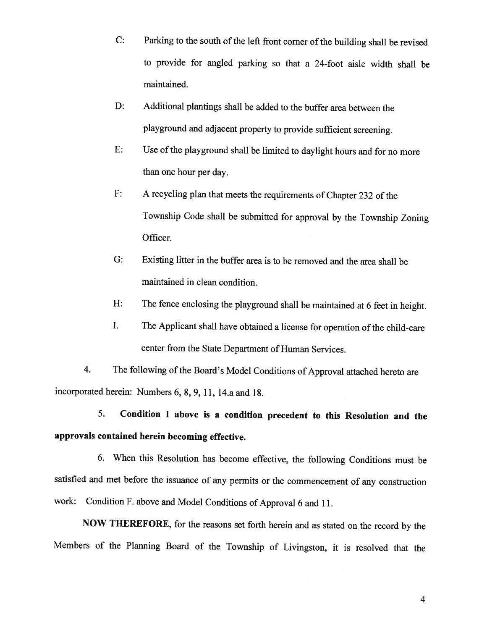- C: Parking to the south of the left front corner of the building shall be revised to provide for angled parking so that <sup>a</sup> 24-foot aisle width shall be maintained.
- D: Additional plantings shall be added to the buffer area between the <sup>p</sup>layground and adjacent property to provide sufficient screening.
- E: Use of the <sup>p</sup>layground shall be limited to daylight hours and for no more than one hour per day.
- F: <sup>A</sup> recycling <sup>p</sup>lan that meets the requirements of Chapter <sup>232</sup> of the Township Code shall be submitted for approval by the Township Zoning Officer.
- G: Existing litter in the buffer area is to be removed and the area shall be maintained in clean condition.
- H: The fence enclosing the <sup>p</sup>layground shall be maintained at <sup>6</sup> feet in height.
- I. The Applicant shall have obtained <sup>a</sup> license for operation of the child-care center from the State Department of Human Services.

4. The following of the Board's Model Conditions of Approval attached hereto are incorporated herein: Numbers 6, 8, 9, 11, 14.a and 18.

5. Condition <sup>I</sup> above is <sup>a</sup> condition precedent to this Resolution and the approvals contained herein becoming effective.

6. When this Resolution has become effective, the following Conditions must be satisfied and met before the issuance of any permits or the commencement of any construction work: Condition F. above and Model Conditions of Approval <sup>6</sup> and 11.

NOW THEREFORE, for the reasons set forth herein and as stated on the record by the Members of the Planning Board of the Township of Livingston, it is resolved that the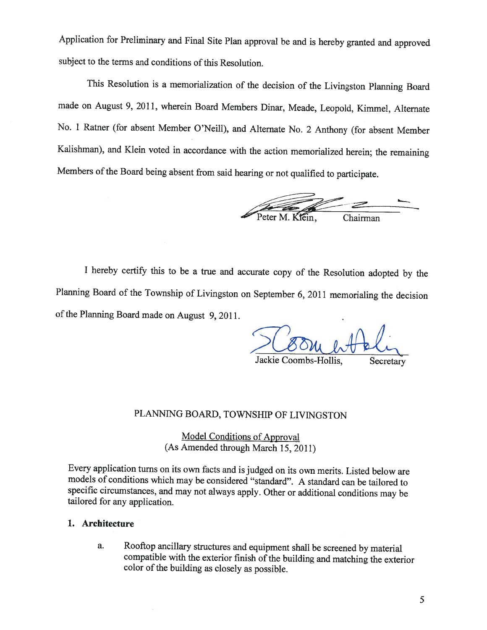Application for Preliminary and Final Site Plan approval be and is hereby granted and approved subject to the terms and conditions of this Resolution.

This Resolution is <sup>a</sup> memorialization of the decision of the Livingston Planning Board made on August 9, 2011, wherein Board Members Dinar, Meade, Leopold, Kimmel, Alternate No. <sup>1</sup> Ratner (for absent Member O'Neill), and Alternate No. <sup>2</sup> Anthony (for absent Member Kalishman), and Klein voted in accordance with the action memorialized herein; the remaining Members of the Board being absent from said hearing or not qualified to participate.

Peter M. Kiein, Chairman

<sup>I</sup> hereby certify this to be <sup>a</sup> true and accurate copy of the Resolution adopted by the Planning Board of the Township of Livingston on September 6, <sup>2011</sup> memorialing the decision of the Planning Board made on August 9, 2011.

Jackie Coombs-Hollis, Secretary

#### PLANNING BOARD, TOWNSHIP OF LIVINGSTON

Model Conditions of Approval (As Amended through March 15, 2011)

Every application turns on its own facts and is judged on its own merits. Listed below are models of conditions which may be considered "standard". <sup>A</sup> standard can be tailored to specific circumstances, and may not always apply. Other or additional conditions may be tailored for any application.

#### 1. Architecture

a. Rooftop ancillary structures and equipment shall be screened by material compatible with the exterior finish of the building and matching the exterior color of the building as closely as possible.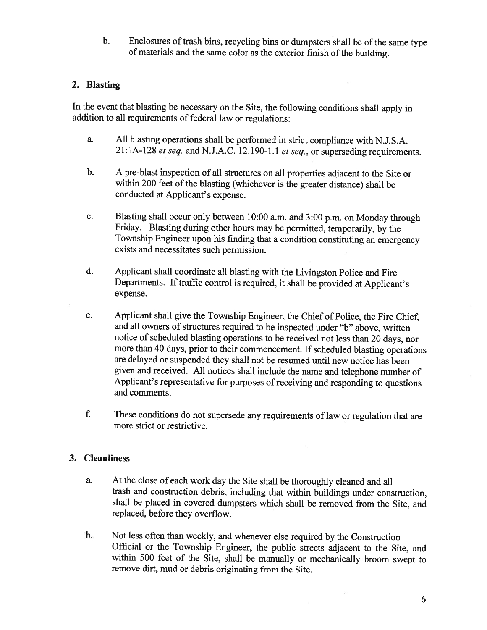b. Enclosures of trash bins, recycling bins or dumpsters shall be of the same type of materials and the same color as the exterior finish of the building.

# 2. Blasting

In the event that blasting be necessary on the Site, the following conditions shall apply in addition to all requirements of federal law or regulations:

- a. All blasting operations shall be performed in strict compliance with N.J.S.A. 21:1A-128 et seq. and N.J.A.C. 12:190-1.1 et seq., or superseding requirements.
- b. <sup>A</sup> pre-blast inspection of all structures on all properties adjacent to the Site or within <sup>200</sup> feet of the blasting (whichever is the greater distance) shall be conducted at Applicant's expense.
- c. Blasting shall occur only between 10:00 a.m. and 3:00 p.m. on Monday through Friday. Blasting during other hours may be permitted, temporarily, by the Township Engineer upon his finding that <sup>a</sup> condition constituting an emergency exists and necessitates such permission.
- d. Applicant shall coordinate all blasting with the Livingston Police and Fire Departments. If traffic control is required, it shall be provided at Applicant's expense.
- e. Applicant shall <sup>g</sup>ive the Township Engineer, the Chief of Police, the Fire Chief, and all owners of structures required to be inspected under "b" above, written notice of scheduled blasting operations to be received not less than <sup>20</sup> days, nor more than <sup>40</sup> days, prior to their commencement. If scheduled blasting operations are delayed or suspended they shall not be resumed until new notice has been <sup>g</sup>iven and received. All notices shall include the name and telephone number of Applicant's representative for purposes of receiving and responding to questions and comments.
- f. These conditions do not supersede any requirements of law or regulation that are more strict or restrictive.

## 3. Cleanliness

- a. At the close of each work day the Site shall be thoroughly cleaned and all trash and construction debris, including that within buildings under construction, shall be <sup>p</sup>laced in covered dumpsters which shall be removed from the Site, and replaced, before they overflow.
- b. Not less often than weekly, and whenever else required by the Construction Official or the Township Engineer, the public streets adjacent to the Site, and within <sup>500</sup> feet of the Site, shall be manually or mechanically broom swept to remove dirt, mud or debris originating from the Site.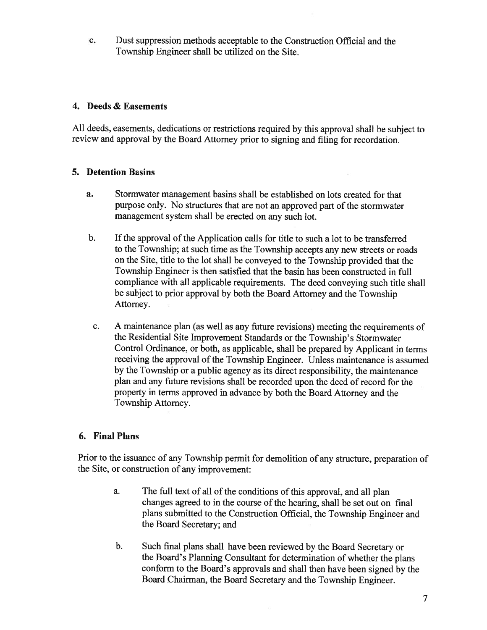c. Dust suppression methods acceptable to the Construction Official and the Township Engineer shall be utilized on the Site.

# 4. Deeds & Easements

All deeds, easements, dedications or restrictions required by this approva<sup>l</sup> shall be subject to review and approva<sup>l</sup> by the Board Attorney prior to signing and filing for recordation.

# 5. Detention Basins

- a. Stormwater managemen<sup>t</sup> basins shall be established on lots created for that purpose only. No structures that are not an approved part of the stormwater managemen<sup>t</sup> system shall be erected on any such lot.
- b. If the approval of the Application calls for title to such a lot to be transferred to the Township; at such time as the Township accepts any new streets or roads on the Site, title to the lot shall be conveye<sup>d</sup> to the Township provided that the Township Engineer is then satisfied that the basin has been constructed in full compliance with all applicable requirements. The deed conveying such title shall be subject to prior approva<sup>l</sup> by both the Board Attorney and the Township Attorney.
- c. <sup>A</sup> maintenance <sup>p</sup>lan (as well as any future revisions) meeting the requirements of the Residential Site Improvement Standards or the Township's Stormwater Control Ordinance, or both, as applicable, shall be prepare<sup>d</sup> by Applicant in terms receiving the approva<sup>l</sup> of the Township Engineer. Unless maintenance is assumed by the Township or <sup>a</sup> public agency as its direct responsibility, the maintenance plan and any future revisions shall be recorded upon the deed of record for the property in terms approved in advance by both the Board Attorney and the Township Attorney.

## 6. Final Plans

Prior to the issuance of any Township permit for demolition of any structure, preparation of the Site, or construction of any improvement:

- a. The full text of all of the conditions of this approval, and all plan changes agreed to in the course of the hearing, shall be set out on final <sup>p</sup>lans submitted to the Construction Official, the Township Engineer and the Board Secretary; and
- b. Such final <sup>p</sup>lans shall have been reviewed by the Board Secretary or the Board's Planning Consultant for determination of whether the <sup>p</sup>lans conform to the Board's approvals and shall then have been signed by the Board Chairman, the Board Secretary and the Township Engineer.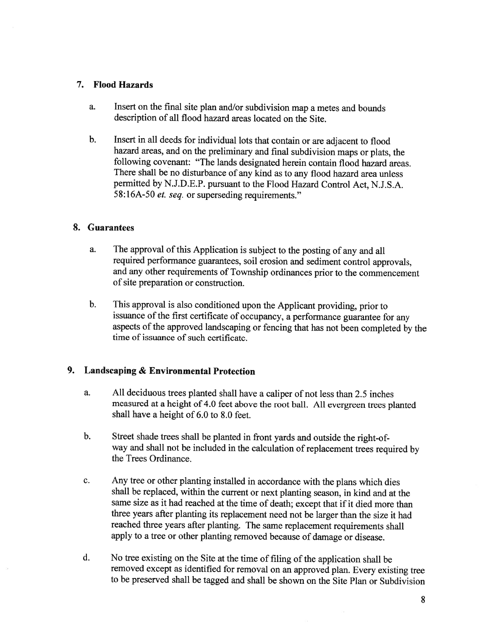### 7. Flood Hazards

- a. Insert on the final site <sup>p</sup>lan and/or subdivision map <sup>a</sup> metes and bounds description of all flood hazard areas located on the Site.
- b. Insert in all deeds for individual lots that contain or are adjacent to flood hazard areas, and on the preliminary and final subdivision maps or <sup>p</sup>lats, the following covenant: "The lands designated herein contain flood hazard areas. There shall be no disturbance of any kind as to any flood hazard area unless permitted by N.J.D.E.P. pursuant to the Flood Hazard Control Act, N.J.S.A. 58:16A-50 *et. seq.* or superseding requirements."

### 8. Guarantees

- a. The approval of this Application is subject to the posting of any and all required performance guarantees, soil erosion and sediment control approvals, and any other requirements of Township ordinances prior to the commencement of site preparation or construction.
- b. This approval is also conditioned upon the Applicant providing, prior to issuance of the first certificate of occupancy, <sup>a</sup> performance guarantee for any aspects of the approved landscaping or fencing that has not been completed by the time of issuance of such certificate.

## 9. Landscaping & Environmental Protection

- a. All deciduous trees <sup>p</sup>lanted shall have <sup>a</sup> caliper of not less than 2.5 inches measured at <sup>a</sup> height of 4.0 feet above the root ball. All evergreen trees <sup>p</sup>lanted shall have <sup>a</sup> height of 6.0 to 8.0 feet.
- b. Street shade trees shall be <sup>p</sup>lanted in front yards and outside the right-ofway and shall not be included in the calculation of replacement trees required by the Trees Ordinance.
- c. Any tree or other <sup>p</sup>lanting installed in accordance with the <sup>p</sup>lans which dies shall be replaced, within the current or next <sup>p</sup>lanting season, in kind and at the same size as it had reached at the time of death; except that if it died more than three years after <sup>p</sup>lanting its replacement need not be larger than the size it had reached three years after <sup>p</sup>lanting. The same replacement requirements shall apply to <sup>a</sup> tree or other <sup>p</sup>lanting removed because of damage or disease.
- d. No tree existing on the Site at the time of filing of the application shall be removed except as identified for removal on an approved <sup>p</sup>lan. Every existing tree to be preserved shall be tagged and shall be shown on the Site Plan or Subdivision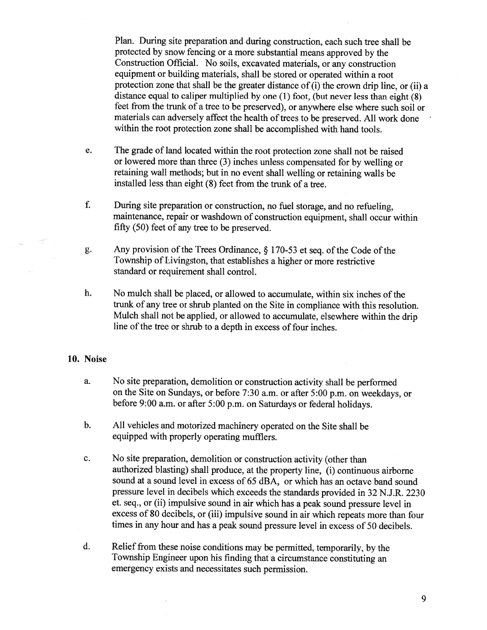Plan. During site preparation and during construction, each such tree shall be protected by snow fencing or <sup>a</sup> more substantial means approve<sup>d</sup> by the Construction Official. No soils, excavated materials, or any construction equipment or building materials, shall be stored or operated within <sup>a</sup> root protection zone that shall be the greater distance of (i) the crown drip line, or (ii) <sup>a</sup> distance equa<sup>l</sup> to caliper multiplied by one (1) foot, (but never less than eight (8) feet from the trunk of <sup>a</sup> tree to be preserved), or anywhere else where such soil or materials can adversely affect the health of trees to be preserved. All work done within the root protection zone shall be accomplished with hand tools.

- e. The grade of land located within the root protection zone shall not be raised or lowered more than three (3) inches unless compensated for by welling or retaining wall methods; but in no event shall welling or retaining walls be installed less than eight (8) feet from the trunk of <sup>a</sup> tree.
- f. During site preparation or construction, no fuel storage, and no refueling, maintenance, repair or washdown of construction equipment, shall occur within fifty (50) feet of any tree to be preserved.
- g. Any provision of the Trees Ordinance,  $\S$  170-53 et seq. of the Code of the Township of Livingston, that establishes <sup>a</sup> higher or more restrictive standard or requirement shall control.
- h. No mulch shall be placed, or allowed to accumulate, within six inches of the trunk of any tree or shrub <sup>p</sup>lanted on the Site in compliance with this resolution. Mulch shall not be applied, or allowed to accumulate, elsewhere within the drip line of the tree or shrub to <sup>a</sup> depth in excess of four inches.

#### 10. Noise

- a. No site preparation, demolition or construction activity shall be performed on the Site on Sundays, or before 7:30 a.m. or after 5:00 p.m. on weekdays, or before 9:00 a.m. or after 5:00 p.m. on Saturdays or federal holidays.
- b. All vehicles and motorized machinery operated on the Site shall be equipped with properly operating mufflers.
- c. No site preparation, demolition or construction activity (other than authorized blasting) shall produce, at the property line, (i) continuous airborne sound at <sup>a</sup> sound level in excess of 65 dBA, or which has an octave band sound pressure level in decibels which exceeds the standards provided in 32 N.J.R. 2230 et. seq., or (ii) impulsive sound in air which has <sup>a</sup> pea<sup>k</sup> sound pressure level in excess of <sup>80</sup> decibels, or (iii) impulsive sound in air which repeats more than four times in any hour and has <sup>a</sup> pea<sup>k</sup> sound pressure level in excess of <sup>50</sup> decibels.
- d. Relief from these noise conditions may be permitted, temporarily, by the Township Engineer upon his finding that <sup>a</sup> circumstance constituting an emergency exists and necessitates such permission.

9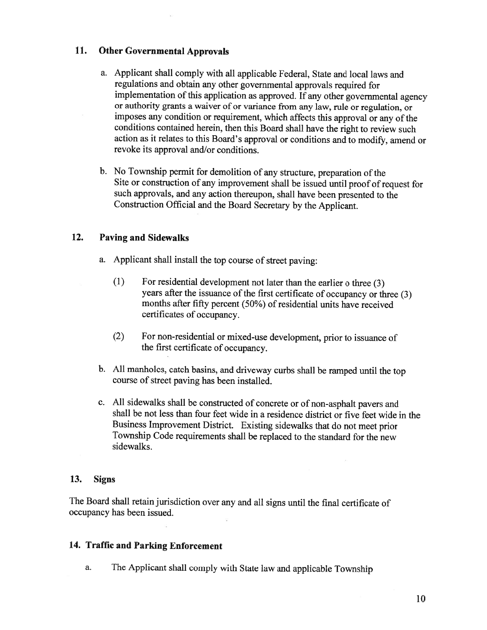## 11. Other Governmental Approvals

- a. Applicant shall comply with all applicable Federal, State and local laws and regulations and obtain any other governmental approvals required for implementation of this application as approved. If any other governmental agency or authority grants <sup>a</sup> waiver of or variance from any law, rule or regulation, or imposes any condition or requirement, which affects this approval or any of the conditions contained herein, then this Board shall have the right to review such action as it relates to this Board's approval or conditions and to modify, amend or revoke its approval and/or conditions.
- b. No Township permit for demolition of any structure, preparation of the Site or construction of any improvement shall be issued until proof of request for such approvals, and any action thereupon, shall have been presented to the Construction Official and the Board Secretary by the Applicant.

## 12. Paving and Sidewalks

- a. Applicant shall install the top course of street paying:
	- (1) For residential development not later than the earlier <sup>o</sup> three (3) years after the issuance of the first certificate of occupancy or three (3) months after fifty percent (50%) of residential units have received certificates of occupancy.
	- (2) For non-residential or mixed-use development, prior to issuance of the first certificate of occupancy.
- b. All manholes, catch basins, and driveway curbs shall be ramped until the top course of street paving has been installed.
- c. All sidewalks shall be constructed of concrete or of non-asphalt payers and shall be not less than four feet wide in <sup>a</sup> residence district or five feet wide in the Business Improvement District. Existing sidewalks that do not meet prior Township Code requirements shall be replaced to the standard for the new sidewalks.

### 13. Signs

The Board shall retain jurisdiction over any and all signs until the final certificate of occupancy has been issued.

# 14. Traffic and Parking Enforcement

a. The Applicant shall comply with State law and applicable Township